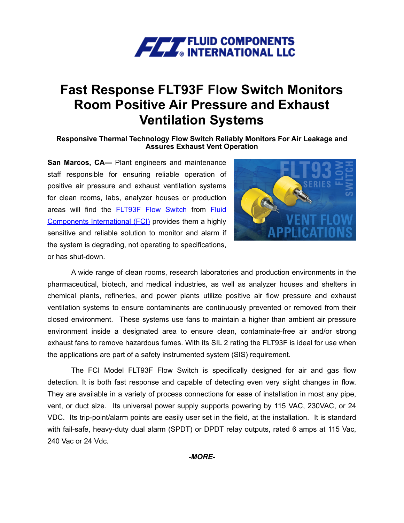

## **Fast Response FLT93F Flow Switch Monitors Room Positive Air Pressure and Exhaust Ventilation Systems**

**Responsive Thermal Technology Flow Switch Reliably Monitors For Air Leakage and Assures Exhaust Vent Operation**

**San Marcos, CA—** Plant engineers and maintenance staff responsible for ensuring reliable operation of positive air pressure and exhaust ventilation systems for clean rooms, labs, analyzer houses or production areas will find the **[FLT93F Flow Switch](https://www.fluidcomponents.com/products/flow-switches/flt93-series-flow-switches/flt93f-flow-switch)** from **Fluid** [Components International \(FCI\)](http://www.fluidcomponents.com/) provides them a highly sensitive and reliable solution to monitor and alarm if the system is degrading, not operating to specifications, or has shut-down.



A wide range of clean rooms, research laboratories and production environments in the pharmaceutical, biotech, and medical industries, as well as analyzer houses and shelters in chemical plants, refineries, and power plants utilize positive air flow pressure and exhaust ventilation systems to ensure contaminants are continuously prevented or removed from their closed environment. These systems use fans to maintain a higher than ambient air pressure environment inside a designated area to ensure clean, contaminate-free air and/or strong exhaust fans to remove hazardous fumes. With its SIL 2 rating the FLT93F is ideal for use when the applications are part of a safety instrumented system (SIS) requirement.

The FCI Model FLT93F Flow Switch is specifically designed for air and gas flow detection. It is both fast response and capable of detecting even very slight changes in flow. They are available in a variety of process connections for ease of installation in most any pipe, vent, or duct size. Its universal power supply supports powering by 115 VAC, 230VAC, or 24 VDC. Its trip-point/alarm points are easily user set in the field, at the installation. It is standard with fail-safe, heavy-duty dual alarm (SPDT) or DPDT relay outputs, rated 6 amps at 115 Vac, 240 Vac or 24 Vdc.

*-MORE-*